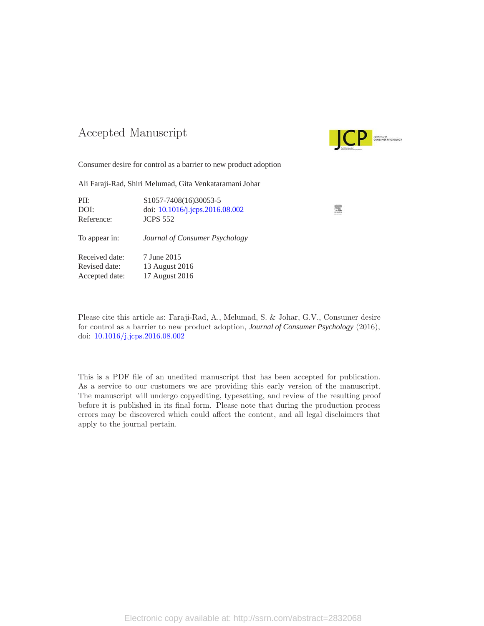### -- -



Consumer desire for control as a barrier to new product adoption

Ali Faraji-Rad, Shiri Melumad, Gita Venkataramani Johar

| PII:<br>DOI:<br>Reference:                        | S1057-7408(16)30053-5<br>doi: 10.1016/j.jcps.2016.08.002<br><b>JCPS 552</b> |  |
|---------------------------------------------------|-----------------------------------------------------------------------------|--|
| To appear in:                                     | Journal of Consumer Psychology                                              |  |
| Received date:<br>Revised date:<br>Accepted date: | 7 June 2015<br>13 August 2016<br>17 August 2016                             |  |

Please cite this article as: Faraji-Rad, A., Melumad, S. & Johar, G.V., Consumer desire for control as a barrier to new product adoption, *Journal of Consumer Psychology* (2016), doi: [10.1016/j.jcps.2016.08.002](http://dx.doi.org/10.1016/j.jcps.2016.08.002)

This is a PDF file of an unedited manuscript that has been accepted for publication. As a service to our customers we are providing this early version of the manuscript. The manuscript will undergo copyediting, typesetting, and review of the resulting proof before it is published in its final form. Please note that during the production process errors may be discovered which could affect the content, and all legal disclaimers that apply to the journal pertain.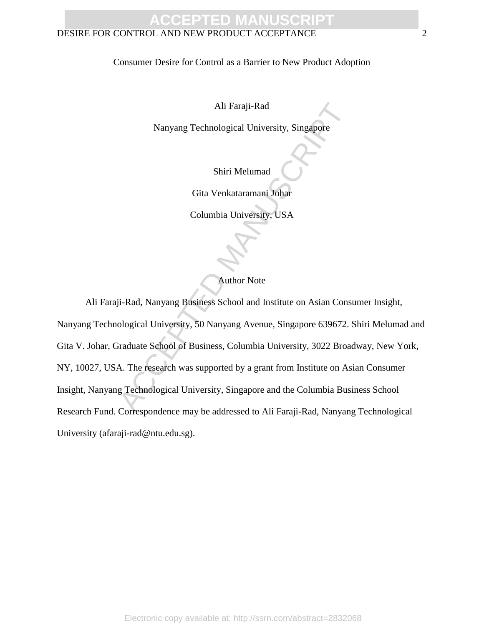#### DESIRE FOR CONTROL AND NEW PRODUCT ACCEPTANCE 2

Consumer Desire for Control as a Barrier to New Product Adoption

Ali Faraji-Rad

Nanyang Technological University, Singapore

Shiri Melumad

Gita Venkataramani Johar

Columbia University, USA

Author Note

Ali Faraji-Rad<br>
Nanyang Technological University, Singapore<br>
Shiri Melumad<br>
Gita Venkataramani Johar<br>
Columbia University, USA<br>
Author Note<br>
ii-Rad, Nanyang Business School and Institute on Asian Consulogical University, 5 Ali Faraji-Rad, Nanyang Business School and Institute on Asian Consumer Insight, Nanyang Technological University, 50 Nanyang Avenue, Singapore 639672. Shiri Melumad and Gita V. Johar, Graduate School of Business, Columbia University, 3022 Broadway, New York, NY, 10027, USA. The research was supported by a grant from Institute on Asian Consumer Insight, Nanyang Technological University, Singapore and the Columbia Business School Research Fund. Correspondence may be addressed to Ali Faraji-Rad, Nanyang Technological University (afaraji-rad@ntu.edu.sg).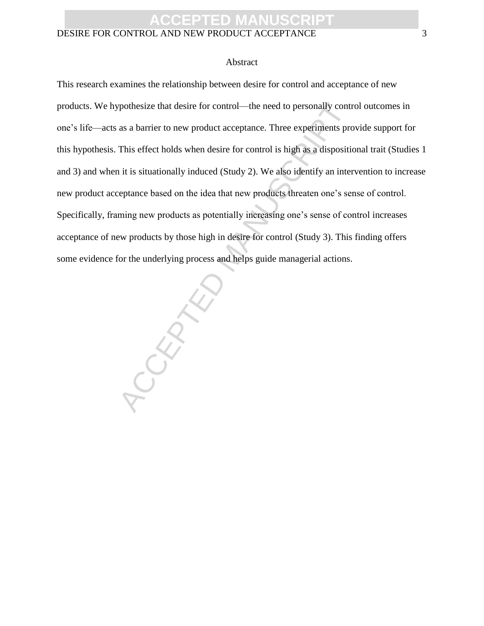#### DESIRE FOR CONTROL AND NEW PRODUCT ACCEPTANCE 3

#### Abstract

This research examines the relationship between desire for control and acceptance of new products. We hypothesize that desire for control—the need to personally control outcomes in one's life—acts as a barrier to new product acceptance. Three experiments provide support for this hypothesis. This effect holds when desire for control is high as a dispositional trait (Studies 1 and 3) and when it is situationally induced (Study 2). We also identify an intervention to increase new product acceptance based on the idea that new products threaten one's sense of control. Specifically, framing new products as potentially increasing one's sense of control increases acceptance of new products by those high in desire for control (Study 3). This finding offers some evidence for the underlying process and helps guide managerial actions.

PEDICT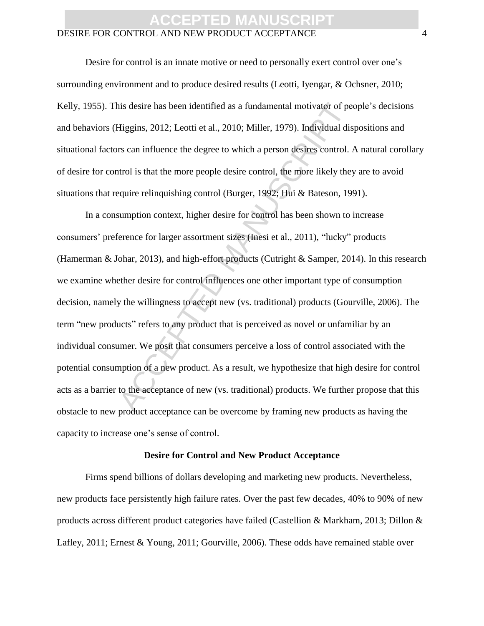#### DESIRE FOR CONTROL AND NEW PRODUCT ACCEPTANCE 4

Desire for control is an innate motive or need to personally exert control over one's surrounding environment and to produce desired results (Leotti, Iyengar, & Ochsner, 2010; Kelly, 1955). This desire has been identified as a fundamental motivator of people's decisions and behaviors (Higgins, 2012; Leotti et al., 2010; Miller, 1979). Individual dispositions and situational factors can influence the degree to which a person desires control. A natural corollary of desire for control is that the more people desire control, the more likely they are to avoid situations that require relinquishing control (Burger, 1992; Hui & Bateson, 1991).

is desire has been identified as a fundamental motivator of pediations, 2012; Leotti et al., 2010; Miller, 1979). Individual dis<br>
rs can influence the degree to which a person desires control.<br>
turol is that the more peopl In a consumption context, higher desire for control has been shown to increase consumers' preference for larger assortment sizes (Inesi et al., 2011), "lucky" products (Hamerman & Johar, 2013), and high-effort products (Cutright & Samper, 2014). In this research we examine whether desire for control influences one other important type of consumption decision, namely the willingness to accept new (vs. traditional) products (Gourville, 2006). The term "new products" refers to any product that is perceived as novel or unfamiliar by an individual consumer. We posit that consumers perceive a loss of control associated with the potential consumption of a new product. As a result, we hypothesize that high desire for control acts as a barrier to the acceptance of new (vs. traditional) products. We further propose that this obstacle to new product acceptance can be overcome by framing new products as having the capacity to increase one's sense of control.

#### **Desire for Control and New Product Acceptance**

Firms spend billions of dollars developing and marketing new products. Nevertheless, new products face persistently high failure rates. Over the past few decades, 40% to 90% of new products across different product categories have failed (Castellion & Markham, 2013; Dillon & Lafley, 2011; Ernest & Young, 2011; Gourville, 2006). These odds have remained stable over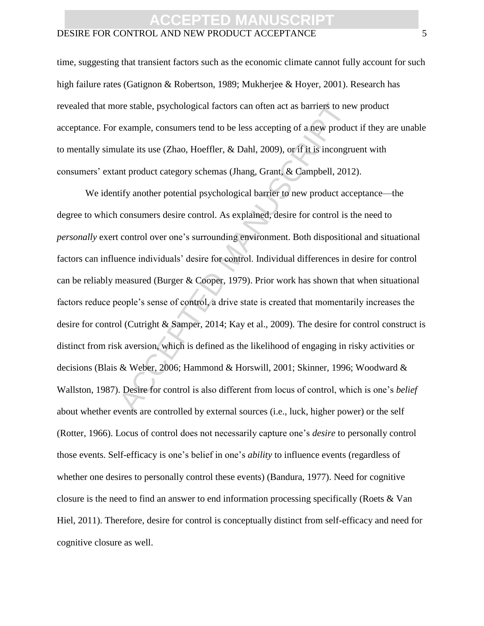#### DESIRE FOR CONTROL AND NEW PRODUCT ACCEPTANCE 5

time, suggesting that transient factors such as the economic climate cannot fully account for such high failure rates (Gatignon & Robertson, 1989; Mukherjee & Hoyer, 2001). Research has revealed that more stable, psychological factors can often act as barriers to new product acceptance. For example, consumers tend to be less accepting of a new product if they are unable to mentally simulate its use (Zhao, Hoeffler, & Dahl, 2009), or if it is incongruent with consumers' extant product category schemas (Jhang, Grant, & Campbell, 2012).

or stable, psychological factors can often act as barriers to nev<br>example, consumers tend to be less accepting of a new produc<br>alate its use (Zhao, Hoeffler, & Dahl, 2009), or if it is incongru<br>nt product category schemas We identify another potential psychological barrier to new product acceptance—the degree to which consumers desire control. As explained, desire for control is the need to *personally* exert control over one's surrounding environment. Both dispositional and situational factors can influence individuals' desire for control. Individual differences in desire for control can be reliably measured (Burger & Cooper, 1979). Prior work has shown that when situational factors reduce people's sense of control, a drive state is created that momentarily increases the desire for control (Cutright & Samper, 2014; Kay et al., 2009). The desire for control construct is distinct from risk aversion, which is defined as the likelihood of engaging in risky activities or decisions (Blais & Weber, 2006; Hammond & Horswill, 2001; Skinner, 1996; Woodward & Wallston, 1987). Desire for control is also different from locus of control, which is one's *belief* about whether events are controlled by external sources (i.e., luck, higher power) or the self (Rotter, 1966). Locus of control does not necessarily capture one's *desire* to personally control those events. Self-efficacy is one's belief in one's *ability* to influence events (regardless of whether one desires to personally control these events) (Bandura, 1977). Need for cognitive closure is the need to find an answer to end information processing specifically (Roets & Van Hiel, 2011). Therefore, desire for control is conceptually distinct from self-efficacy and need for cognitive closure as well.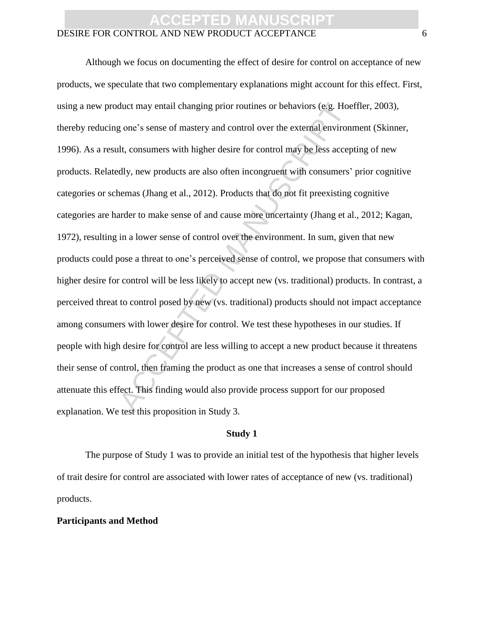#### DESIRE FOR CONTROL AND NEW PRODUCT ACCEPTANCE 6

duct may entail changing prior routines or behaviors (e.g. Hoe<br>g one's sense of mastery and control over the external environ<br>ult, consumers with higher desire for control may be less accep<br>dly, new products are also often Although we focus on documenting the effect of desire for control on acceptance of new products, we speculate that two complementary explanations might account for this effect. First, using a new product may entail changing prior routines or behaviors (e.g. Hoeffler, 2003), thereby reducing one's sense of mastery and control over the external environment (Skinner, 1996). As a result, consumers with higher desire for control may be less accepting of new products. Relatedly, new products are also often incongruent with consumers' prior cognitive categories or schemas (Jhang et al., 2012). Products that do not fit preexisting cognitive categories are harder to make sense of and cause more uncertainty (Jhang et al., 2012; Kagan, 1972), resulting in a lower sense of control over the environment. In sum, given that new products could pose a threat to one's perceived sense of control, we propose that consumers with higher desire for control will be less likely to accept new (vs. traditional) products. In contrast, a perceived threat to control posed by new (vs. traditional) products should not impact acceptance among consumers with lower desire for control. We test these hypotheses in our studies. If people with high desire for control are less willing to accept a new product because it threatens their sense of control, then framing the product as one that increases a sense of control should attenuate this effect. This finding would also provide process support for our proposed explanation. We test this proposition in Study 3.

#### **Study 1**

The purpose of Study 1 was to provide an initial test of the hypothesis that higher levels of trait desire for control are associated with lower rates of acceptance of new (vs. traditional) products.

#### **Participants and Method**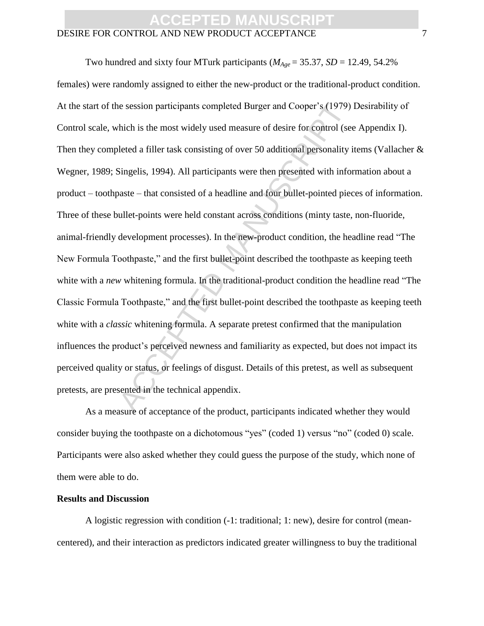#### DESIRE FOR CONTROL AND NEW PRODUCT ACCEPTANCE 7

ie session participants completed Burger and Cooper's (1979)<br>
which is the most widely used measure of desire for control (see<br>
leted a filler task consisting of over 50 additional personality i<br>
Singelis, 1994). All part Two hundred and sixty four MTurk participants ( $M_{Age} = 35.37$ ,  $SD = 12.49$ , 54.2% females) were randomly assigned to either the new-product or the traditional-product condition. At the start of the session participants completed Burger and Cooper's (1979) Desirability of Control scale, which is the most widely used measure of desire for control (see Appendix I). Then they completed a filler task consisting of over 50 additional personality items (Vallacher & Wegner, 1989; Singelis, 1994). All participants were then presented with information about a product – toothpaste – that consisted of a headline and four bullet-pointed pieces of information. Three of these bullet-points were held constant across conditions (minty taste, non-fluoride, animal-friendly development processes). In the new-product condition, the headline read "The New Formula Toothpaste," and the first bullet-point described the toothpaste as keeping teeth white with a *new* whitening formula. In the traditional-product condition the headline read "The Classic Formula Toothpaste," and the first bullet-point described the toothpaste as keeping teeth white with a *classic* whitening formula. A separate pretest confirmed that the manipulation influences the product's perceived newness and familiarity as expected, but does not impact its perceived quality or status, or feelings of disgust. Details of this pretest, as well as subsequent pretests, are presented in the technical appendix.

As a measure of acceptance of the product, participants indicated whether they would consider buying the toothpaste on a dichotomous "yes" (coded 1) versus "no" (coded 0) scale. Participants were also asked whether they could guess the purpose of the study, which none of them were able to do.

#### **Results and Discussion**

A logistic regression with condition (-1: traditional; 1: new), desire for control (meancentered), and their interaction as predictors indicated greater willingness to buy the traditional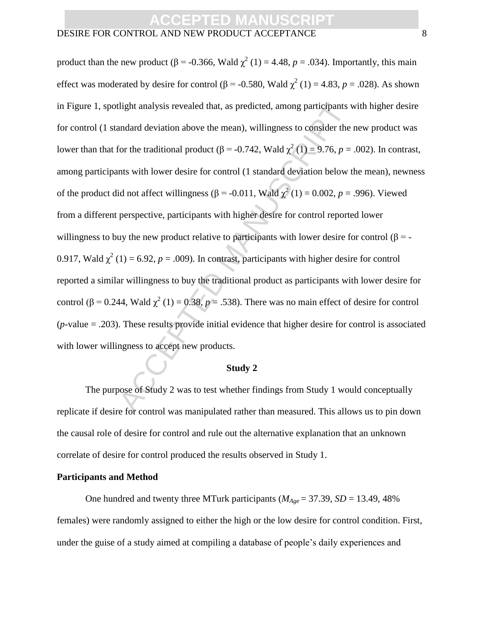#### DESIRE FOR CONTROL AND NEW PRODUCT ACCEPTANCE 8

dight analysis revealed that, as predicted, among participants vandard deviation above the mean), willingness to consider the for the traditional product ( $\beta = -0.742$ , Wald  $\chi^2(1) = 9.76$ ,  $p =$  nts with lower desire for product than the new product ( $\beta$  = -0.366, Wald  $\chi^2$  (1) = 4.48,  $p = .034$ ). Importantly, this main effect was moderated by desire for control ( $\beta$  = -0.580, Wald  $\chi^2$  (1) = 4.83, *p* = .028). As shown in Figure 1, spotlight analysis revealed that, as predicted, among participants with higher desire for control (1 standard deviation above the mean), willingness to consider the new product was lower than that for the traditional product ( $\beta$  = -0.742, Wald  $\chi^2$  (1) = 9.76, *p* = .002). In contrast, among participants with lower desire for control (1 standard deviation below the mean), newness of the product did not affect willingness ( $\beta$  = -0.011, Wald  $\chi^2(1)$  = 0.002, *p* = .996). Viewed from a different perspective, participants with higher desire for control reported lower willingness to buy the new product relative to participants with lower desire for control ( $\beta$  = -0.917, Wald  $\chi^2$  (1) = 6.92, *p* = .009). In contrast, participants with higher desire for control reported a similar willingness to buy the traditional product as participants with lower desire for control ( $\beta$  = 0.244, Wald  $\chi^2$  (1) = 0.38, *p* = .538). There was no main effect of desire for control (*p*-value = .203). These results provide initial evidence that higher desire for control is associated with lower willingness to accept new products.

#### **Study 2**

The purpose of Study 2 was to test whether findings from Study 1 would conceptually replicate if desire for control was manipulated rather than measured. This allows us to pin down the causal role of desire for control and rule out the alternative explanation that an unknown correlate of desire for control produced the results observed in Study 1.

#### **Participants and Method**

One hundred and twenty three MTurk participants (*MAge* = 37.39, *SD* = 13.49, 48% females) were randomly assigned to either the high or the low desire for control condition. First, under the guise of a study aimed at compiling a database of people's daily experiences and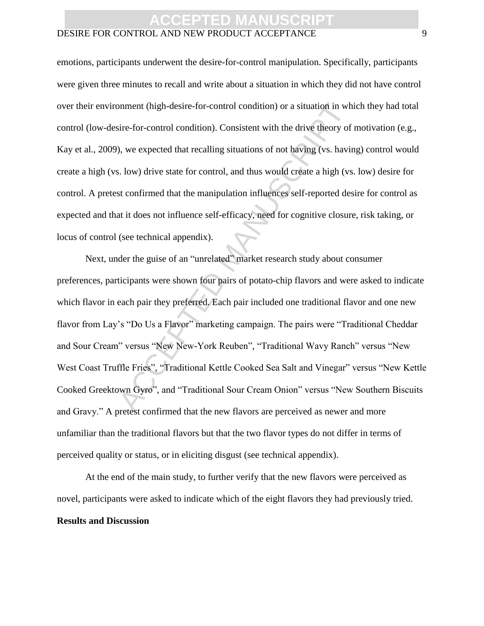#### DESIRE FOR CONTROL AND NEW PRODUCT ACCEPTANCE 9

emotions, participants underwent the desire-for-control manipulation. Specifically, participants were given three minutes to recall and write about a situation in which they did not have control over their environment (high-desire-for-control condition) or a situation in which they had total control (low-desire-for-control condition). Consistent with the drive theory of motivation (e.g., Kay et al., 2009), we expected that recalling situations of not having (vs. having) control would create a high (vs. low) drive state for control, and thus would create a high (vs. low) desire for control. A pretest confirmed that the manipulation influences self-reported desire for control as expected and that it does not influence self-efficacy, need for cognitive closure, risk taking, or locus of control (see technical appendix).

onent (high-desire-for-control condition) or a situation in wh<br>sire-for-control condition). Consistent with the drive theory of<br>), we expected that recalling situations of not having (vs. havir<br>s. low) drive state for cont Next, under the guise of an "unrelated" market research study about consumer preferences, participants were shown four pairs of potato-chip flavors and were asked to indicate which flavor in each pair they preferred. Each pair included one traditional flavor and one new flavor from Lay's "Do Us a Flavor" marketing campaign. The pairs were "Traditional Cheddar and Sour Cream" versus "New New-York Reuben", "Traditional Wavy Ranch" versus "New West Coast Truffle Fries", "Traditional Kettle Cooked Sea Salt and Vinegar" versus "New Kettle Cooked Greektown Gyro", and "Traditional Sour Cream Onion" versus "New Southern Biscuits and Gravy." A pretest confirmed that the new flavors are perceived as newer and more unfamiliar than the traditional flavors but that the two flavor types do not differ in terms of perceived quality or status, or in eliciting disgust (see technical appendix).

At the end of the main study, to further verify that the new flavors were perceived as novel, participants were asked to indicate which of the eight flavors they had previously tried. **Results and Discussion**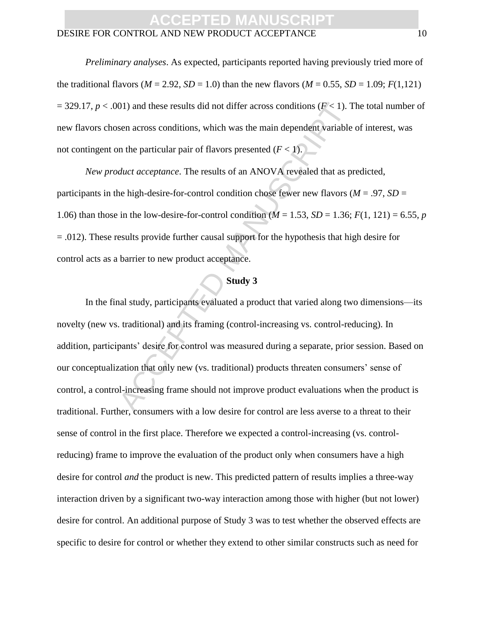#### DESIRE FOR CONTROL AND NEW PRODUCT ACCEPTANCE 10

*Preliminary analyses*. As expected, participants reported having previously tried more of the traditional flavors ( $M = 2.92$ ,  $SD = 1.0$ ) than the new flavors ( $M = 0.55$ ,  $SD = 1.09$ ;  $F(1,121)$  $=$  329.17,  $p < .001$ ) and these results did not differ across conditions ( $F < 1$ ). The total number of new flavors chosen across conditions, which was the main dependent variable of interest, was not contingent on the particular pair of flavors presented  $(F < 1)$ .

*New product acceptance*. The results of an ANOVA revealed that as predicted, participants in the high-desire-for-control condition chose fewer new flavors ( $M = .97$ ,  $SD =$ 1.06) than those in the low-desire-for-control condition  $(M = 1.53, SD = 1.36; F(1, 121) = 6.55, p$  $=$  .012). These results provide further causal support for the hypothesis that high desire for control acts as a barrier to new product acceptance.

#### **Study 3**

( $F$  < 1). These results did not differ across conditions ( $F$  < 1). Then across conditions, which was the main dependent variable in the particular pair of flavors presented ( $F$  < 1).<br> *Auct acceptance*. The results of In the final study, participants evaluated a product that varied along two dimensions—its novelty (new vs. traditional) and its framing (control-increasing vs. control-reducing). In addition, participants' desire for control was measured during a separate, prior session. Based on our conceptualization that only new (vs. traditional) products threaten consumers' sense of control, a control-increasing frame should not improve product evaluations when the product is traditional. Further, consumers with a low desire for control are less averse to a threat to their sense of control in the first place. Therefore we expected a control-increasing (vs. controlreducing) frame to improve the evaluation of the product only when consumers have a high desire for control *and* the product is new. This predicted pattern of results implies a three-way interaction driven by a significant two-way interaction among those with higher (but not lower) desire for control. An additional purpose of Study 3 was to test whether the observed effects are specific to desire for control or whether they extend to other similar constructs such as need for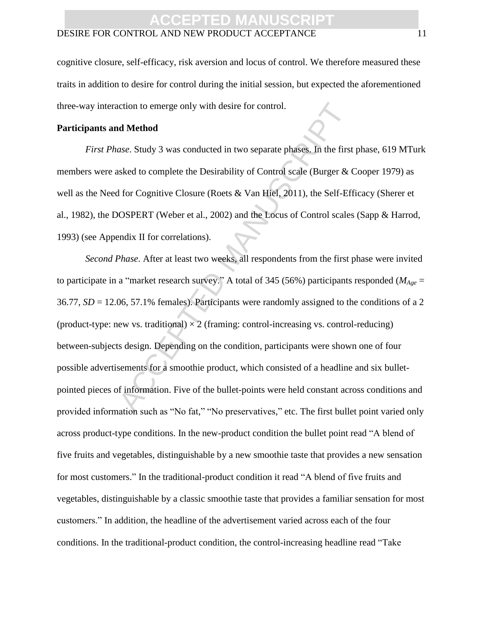#### DESIRE FOR CONTROL AND NEW PRODUCT ACCEPTANCE 11

cognitive closure, self-efficacy, risk aversion and locus of control. We therefore measured these traits in addition to desire for control during the initial session, but expected the aforementioned three-way interaction to emerge only with desire for control.

#### **Participants and Method**

*First Phase*. Study 3 was conducted in two separate phases. In the first phase, 619 MTurk members were asked to complete the Desirability of Control scale (Burger & Cooper 1979) as well as the Need for Cognitive Closure (Roets & Van Hiel, 2011), the Self-Efficacy (Sherer et al., 1982), the DOSPERT (Weber et al., 2002) and the Locus of Control scales (Sapp & Harrod, 1993) (see Appendix II for correlations).

notion to emerge only with desire for control.<br> **ACCEL MANUSCRIPT MANUSCRIPT**<br>
ACCES SERIES SERIES SERIES SERIES SERIES SERIES SERIES SERIES SERIES SERIES SERIES SERIES SERIES OSPERT (Weber et al., 2002) and the Locus of *Second Phase*. After at least two weeks, all respondents from the first phase were invited to participate in a "market research survey." A total of 345 (56%) participants responded (*MAge* = 36.77, *SD* = 12.06, 57.1% females). Participants were randomly assigned to the conditions of a 2 (product-type: new vs. traditional)  $\times$  2 (framing: control-increasing vs. control-reducing) between-subjects design. Depending on the condition, participants were shown one of four possible advertisements for a smoothie product, which consisted of a headline and six bulletpointed pieces of information. Five of the bullet-points were held constant across conditions and provided information such as "No fat," "No preservatives," etc. The first bullet point varied only across product-type conditions. In the new-product condition the bullet point read "A blend of five fruits and vegetables, distinguishable by a new smoothie taste that provides a new sensation for most customers." In the traditional-product condition it read "A blend of five fruits and vegetables, distinguishable by a classic smoothie taste that provides a familiar sensation for most customers." In addition, the headline of the advertisement varied across each of the four conditions. In the traditional-product condition, the control-increasing headline read "Take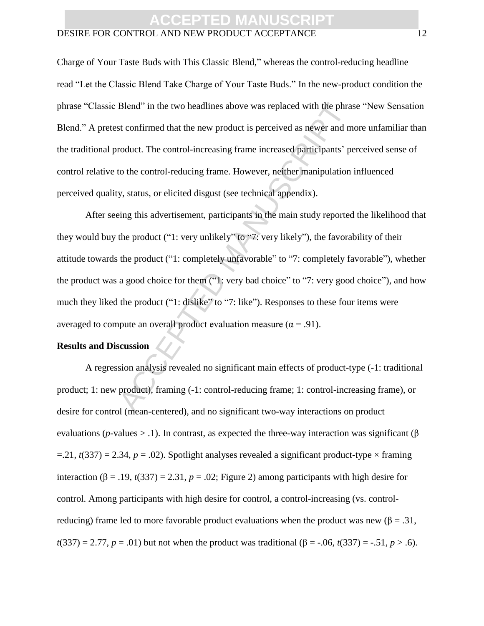#### DESIRE FOR CONTROL AND NEW PRODUCT ACCEPTANCE 12

Charge of Your Taste Buds with This Classic Blend," whereas the control-reducing headline read "Let the Classic Blend Take Charge of Your Taste Buds." In the new-product condition the phrase "Classic Blend" in the two headlines above was replaced with the phrase "New Sensation Blend." A pretest confirmed that the new product is perceived as newer and more unfamiliar than the traditional product. The control-increasing frame increased participants' perceived sense of control relative to the control-reducing frame. However, neither manipulation influenced perceived quality, status, or elicited disgust (see technical appendix).

Blend" in the two headlines above was replaced with the phrase<br>st confirmed that the new product is perceived as newer and m<br>roduct. The control-increasing frame increased participants' per<br>to the control-reducing frame. After seeing this advertisement, participants in the main study reported the likelihood that they would buy the product ("1: very unlikely" to "7: very likely"), the favorability of their attitude towards the product ("1: completely unfavorable" to "7: completely favorable"), whether the product was a good choice for them ("1: very bad choice" to "7: very good choice"), and how much they liked the product ("1: dislike" to "7: like"). Responses to these four items were averaged to compute an overall product evaluation measure ( $\alpha$  = .91).

#### **Results and Discussion**

A regression analysis revealed no significant main effects of product-type (-1: traditional product; 1: new product), framing (-1: control-reducing frame; 1: control-increasing frame), or desire for control (mean-centered), and no significant two-way interactions on product evaluations ( $p$ -values > .1). In contrast, as expected the three-way interaction was significant ( $\beta$ )  $=$  2.1, *t*(337) = 2.34, *p* = .02). Spotlight analyses revealed a significant product-type  $\times$  framing interaction  $(\beta = .19, t(337) = 2.31, p = .02$ ; Figure 2) among participants with high desire for control. Among participants with high desire for control, a control-increasing (vs. controlreducing) frame led to more favorable product evaluations when the product was new ( $\beta = .31$ , *t*(337) = 2.77, *p* = .01) but not when the product was traditional (β = -.06, *t*(337) = -.51, *p* > .6).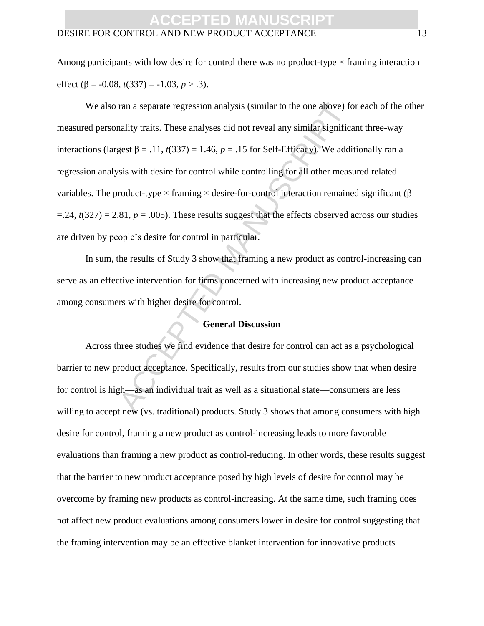#### DESIRE FOR CONTROL AND NEW PRODUCT ACCEPTANCE 13

Among participants with low desire for control there was no product-type  $\times$  framing interaction effect ( $\beta$  = -0.08, *t*(337) = -1.03, *p* > .3).

ran a separate regression analysis (similar to the one above) for<br>ality traits. These analyses did not reveal any similar significa<br>gest  $\beta = .11$ ,  $t(337) = 1.46$ ,  $p = .15$  for Self-Efficacy). We addi<br>sis with desire for c We also ran a separate regression analysis (similar to the one above) for each of the other measured personality traits. These analyses did not reveal any similar significant three-way interactions (largest β = .11,  $t(337) = 1.46$ ,  $p = .15$  for Self-Efficacy). We additionally ran a regression analysis with desire for control while controlling for all other measured related variables. The product-type  $\times$  framing  $\times$  desire-for-control interaction remained significant ( $\beta$  $=$ .24,  $t(327) = 2.81$ ,  $p = .005$ ). These results suggest that the effects observed across our studies are driven by people's desire for control in particular.

In sum, the results of Study 3 show that framing a new product as control-increasing can serve as an effective intervention for firms concerned with increasing new product acceptance among consumers with higher desire for control.

#### **General Discussion**

Across three studies we find evidence that desire for control can act as a psychological barrier to new product acceptance. Specifically, results from our studies show that when desire for control is high—as an individual trait as well as a situational state—consumers are less willing to accept new (vs. traditional) products. Study 3 shows that among consumers with high desire for control, framing a new product as control-increasing leads to more favorable evaluations than framing a new product as control-reducing. In other words, these results suggest that the barrier to new product acceptance posed by high levels of desire for control may be overcome by framing new products as control-increasing. At the same time, such framing does not affect new product evaluations among consumers lower in desire for control suggesting that the framing intervention may be an effective blanket intervention for innovative products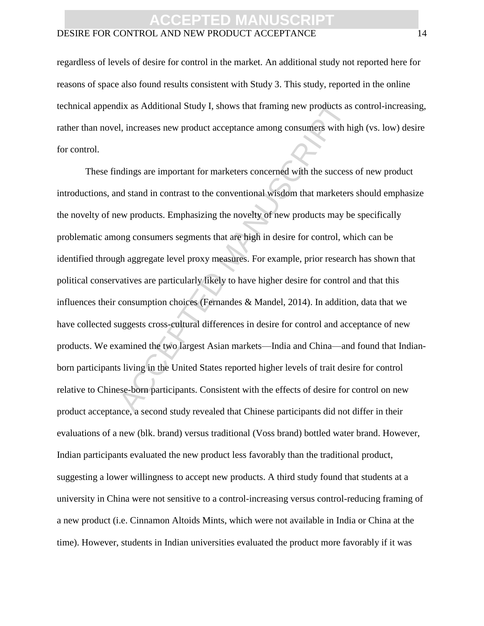#### DESIRE FOR CONTROL AND NEW PRODUCT ACCEPTANCE 14

regardless of levels of desire for control in the market. An additional study not reported here for reasons of space also found results consistent with Study 3. This study, reported in the online technical appendix as Additional Study I, shows that framing new products as control-increasing, rather than novel, increases new product acceptance among consumers with high (vs. low) desire for control.

dix as Additional Study I, shows that framing new products as<br>
El, increases new product acceptance among consumers with hi<br>
I, increases new product acceptance among consumers with hi<br>
Indings are important for marketers These findings are important for marketers concerned with the success of new product introductions, and stand in contrast to the conventional wisdom that marketers should emphasize the novelty of new products. Emphasizing the novelty of new products may be specifically problematic among consumers segments that are high in desire for control, which can be identified through aggregate level proxy measures. For example, prior research has shown that political conservatives are particularly likely to have higher desire for control and that this influences their consumption choices (Fernandes & Mandel, 2014). In addition, data that we have collected suggests cross-cultural differences in desire for control and acceptance of new products. We examined the two largest Asian markets—India and China—and found that Indianborn participants living in the United States reported higher levels of trait desire for control relative to Chinese-born participants. Consistent with the effects of desire for control on new product acceptance, a second study revealed that Chinese participants did not differ in their evaluations of a new (blk. brand) versus traditional (Voss brand) bottled water brand. However, Indian participants evaluated the new product less favorably than the traditional product, suggesting a lower willingness to accept new products. A third study found that students at a university in China were not sensitive to a control-increasing versus control-reducing framing of a new product (i.e. Cinnamon Altoids Mints, which were not available in India or China at the time). However, students in Indian universities evaluated the product more favorably if it was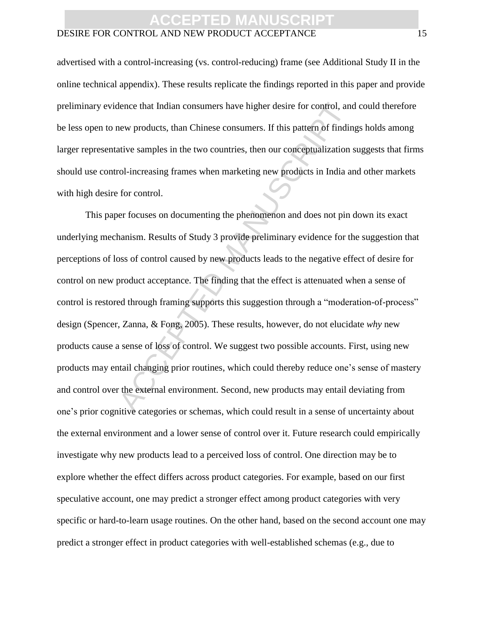#### DESIRE FOR CONTROL AND NEW PRODUCT ACCEPTANCE 15

advertised with a control-increasing (vs. control-reducing) frame (see Additional Study II in the online technical appendix). These results replicate the findings reported in this paper and provide preliminary evidence that Indian consumers have higher desire for control, and could therefore be less open to new products, than Chinese consumers. If this pattern of findings holds among larger representative samples in the two countries, then our conceptualization suggests that firms should use control-increasing frames when marketing new products in India and other markets with high desire for control.

thence that Indian consumers have higher desire for control, and<br>the products, than Chinese consumers. If this pattern of findin<br>tive samples in the two countries, then our conceptualization :<br>rol-increasing frames when ma This paper focuses on documenting the phenomenon and does not pin down its exact underlying mechanism. Results of Study 3 provide preliminary evidence for the suggestion that perceptions of loss of control caused by new products leads to the negative effect of desire for control on new product acceptance. The finding that the effect is attenuated when a sense of control is restored through framing supports this suggestion through a "moderation-of-process" design (Spencer, Zanna, & Fong, 2005). These results, however, do not elucidate *why* new products cause a sense of loss of control. We suggest two possible accounts. First, using new products may entail changing prior routines, which could thereby reduce one's sense of mastery and control over the external environment. Second, new products may entail deviating from one's prior cognitive categories or schemas, which could result in a sense of uncertainty about the external environment and a lower sense of control over it. Future research could empirically investigate why new products lead to a perceived loss of control. One direction may be to explore whether the effect differs across product categories. For example, based on our first speculative account, one may predict a stronger effect among product categories with very specific or hard-to-learn usage routines. On the other hand, based on the second account one may predict a stronger effect in product categories with well-established schemas (e.g., due to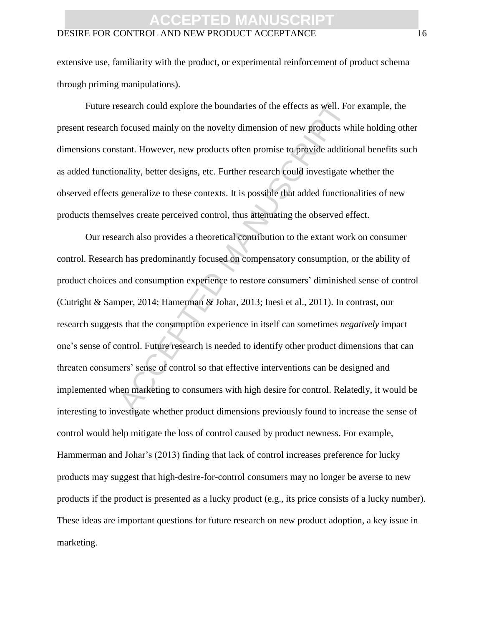#### DESIRE FOR CONTROL AND NEW PRODUCT ACCEPTANCE 16

extensive use, familiarity with the product, or experimental reinforcement of product schema through priming manipulations).

Future research could explore the boundaries of the effects as well. For example, the present research focused mainly on the novelty dimension of new products while holding other dimensions constant. However, new products often promise to provide additional benefits such as added functionality, better designs, etc. Further research could investigate whether the observed effects generalize to these contexts. It is possible that added functionalities of new products themselves create perceived control, thus attenuating the observed effect.

search could explore the boundaries of the effects as well. For<br>focused mainly on the novelty dimension of new products wh<br>stant. However, new products often promise to provide additio<br>onality, better designs, etc. Further Our research also provides a theoretical contribution to the extant work on consumer control. Research has predominantly focused on compensatory consumption, or the ability of product choices and consumption experience to restore consumers' diminished sense of control (Cutright & Samper, 2014; Hamerman & Johar, 2013; Inesi et al., 2011). In contrast, our research suggests that the consumption experience in itself can sometimes *negatively* impact one's sense of control. Future research is needed to identify other product dimensions that can threaten consumers' sense of control so that effective interventions can be designed and implemented when marketing to consumers with high desire for control. Relatedly, it would be interesting to investigate whether product dimensions previously found to increase the sense of control would help mitigate the loss of control caused by product newness. For example, Hammerman and Johar's (2013) finding that lack of control increases preference for lucky products may suggest that high-desire-for-control consumers may no longer be averse to new products if the product is presented as a lucky product (e.g., its price consists of a lucky number). These ideas are important questions for future research on new product adoption, a key issue in marketing.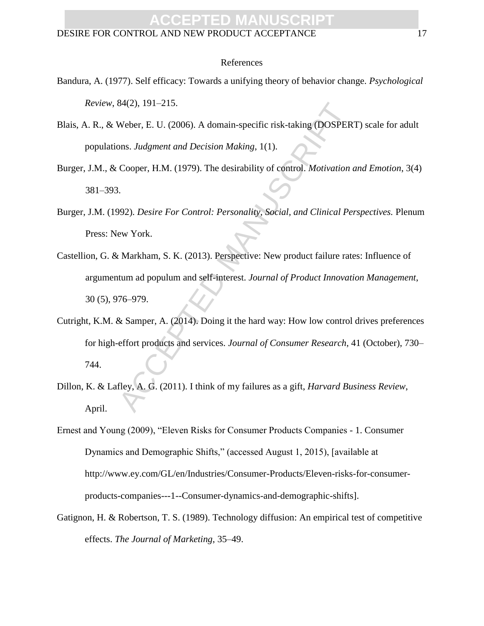#### DESIRE FOR CONTROL AND NEW PRODUCT ACCEPTANCE 17

#### References

- Bandura, A. (1977). Self efficacy: Towards a unifying theory of behavior change. *Psychological Review*, 84(2), 191–215.
- Blais, A. R., & Weber, E. U. (2006). A domain-specific risk-taking (DOSPERT) scale for adult populations. *Judgment and Decision Making*, 1(1).
- Burger, J.M., & Cooper, H.M. (1979). The desirability of control. *Motivation and Emotion*, 3(4) 381–393.
- Burger, J.M. (1992). *Desire For Control: Personality, Social, and Clinical Perspectives.* Plenum Press: New York.
- 84(2), 191–215.<br>
Weber, E. U. (2006). A domain-specific risk-taking (DOSPER<br>
DOSPER<br>
DOSPER<br>
DOSPER<br>
DOSPER, H.M. (1979). The desirability of control. *Motivation*<br>
1.<br>
Cooper, H.M. (1979). The desirability of control. *Mo* Castellion, G. & Markham, S. K. (2013). Perspective: New product failure rates: Influence of argumentum ad populum and self-interest. *Journal of Product Innovation Management*, 30 (5), 976–979.
- Cutright, K.M. & Samper, A. (2014). Doing it the hard way: How low control drives preferences for high-effort products and services. *Journal of Consumer Research*, 41 (October), 730– 744.
- Dillon, K. & Lafley, A. G. (2011). I think of my failures as a gift, *Harvard Business Review*, April.
- Ernest and Young (2009), "Eleven Risks for Consumer Products Companies 1. Consumer Dynamics and Demographic Shifts," (accessed August 1, 2015), [available at http://www.ey.com/GL/en/Industries/Consumer-Products/Eleven-risks-for-consumerproducts-companies---1--Consumer-dynamics-and-demographic-shifts].
- Gatignon, H. & Robertson, T. S. (1989). Technology diffusion: An empirical test of competitive effects. *The Journal of Marketing*, 35–49.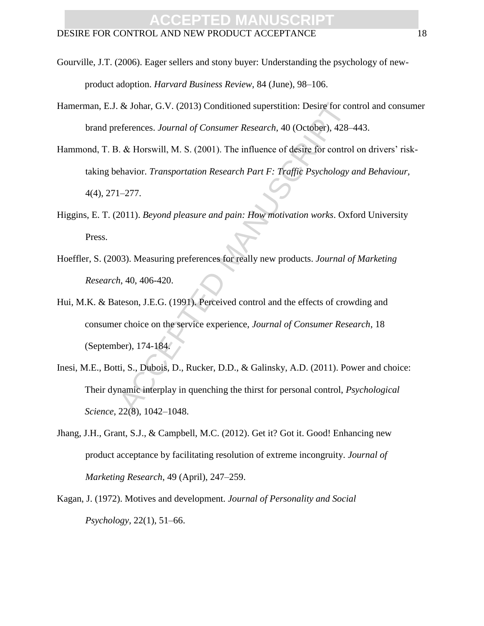- Gourville, J.T. (2006). Eager sellers and stony buyer: Understanding the psychology of newproduct adoption. *Harvard Business Review*, 84 (June), 98–106.
- Hamerman, E.J. & Johar, G.V. (2013) Conditioned superstition: Desire for control and consumer brand preferences. *Journal of Consumer Research*, 40 (October), 428–443.
- & Johar, G.V. (2013) Conditioned superstition: Desire for converterences. Journal of Consumer Research, 40 (October), 428–1. & Horswill, M. S. (2001). The influence of desire for control chavior. Transportation Research Pa Hammond, T. B. & Horswill, M. S. (2001). The influence of desire for control on drivers' risktaking behavior. *Transportation Research Part F: Traffic Psychology and Behaviour,* 4(4), 271–277.
- Higgins, E. T. (2011). *Beyond pleasure and pain: How motivation works*. Oxford University Press.
- Hoeffler, S. (2003). Measuring preferences for really new products. *Journal of Marketing Research*, 40, 406-420.
- Hui, M.K. & Bateson, J.E.G. (1991). Perceived control and the effects of crowding and consumer choice on the service experience, *Journal of Consumer Research*, 18 (September), 174-184.
- Inesi, M.E., Botti, S., Dubois, D., Rucker, D.D., & Galinsky, A.D. (2011). Power and choice: Their dynamic interplay in quenching the thirst for personal control, *Psychological Science*, 22(8), 1042–1048.
- Jhang, J.H., Grant, S.J., & Campbell, M.C. (2012). Get it? Got it. Good! Enhancing new product acceptance by facilitating resolution of extreme incongruity. *Journal of Marketing Research*, 49 (April), 247–259.
- Kagan, J. (1972). Motives and development. *Journal of Personality and Social Psychology,* 22(1), 51–66.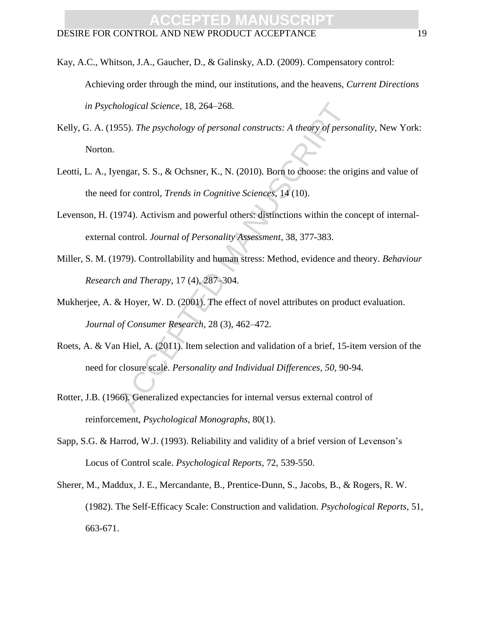- Kay, A.C., Whitson, J.A., Gaucher, D., & Galinsky, A.D. (2009). Compensatory control: Achieving order through the mind, our institutions, and the heavens, *Current Directions in Psychological Science,* 18, 264–268.
- Kelly, G. A. (1955). *The psychology of personal constructs: A theory of personality*, New York: Norton.
- ological Science, 18, 264–268.<br>
555). *The psychology of personal constructs: A theory of personal*<br>
555). *The psychology of personal constructs: A theory of personal*<br>
for control, *Trends in Cognitive Sciences*, 14 (10) Leotti, L. A., Iyengar, S. S., & Ochsner, K., N. (2010). Born to choose: the origins and value of the need for control, *Trends in Cognitive Sciences*, 14 (10).
- Levenson, H. (1974). Activism and powerful others: distinctions within the concept of internalexternal control. *Journal of Personality Assessment*, 38, 377-383.
- Miller, S. M. (1979). Controllability and human stress: Method, evidence and theory. *Behaviour Research and Therapy*, 17 (4), 287–304.
- Mukherjee, A. & Hoyer, W. D. (2001). The effect of novel attributes on product evaluation. *Journal of Consumer Research*, 28 (3), 462–472.
- Roets, A. & Van Hiel, A. (2011). Item selection and validation of a brief, 15-item version of the need for closure scale. *Personality and Individual Differences, 50,* 90-94*.*
- Rotter, J.B. (1966). Generalized expectancies for internal versus external control of reinforcement, *Psychological Monographs*, 80(1).
- Sapp, S.G. & Harrod, W.J. (1993). Reliability and validity of a brief version of Levenson's Locus of Control scale. *Psychological Reports*, 72, 539-550.
- Sherer, M., Maddux, J. E., Mercandante, B., Prentice-Dunn, S., Jacobs, B., & Rogers, R. W. (1982). The Self-Efficacy Scale: Construction and validation. *Psychological Reports*, 51, 663-671.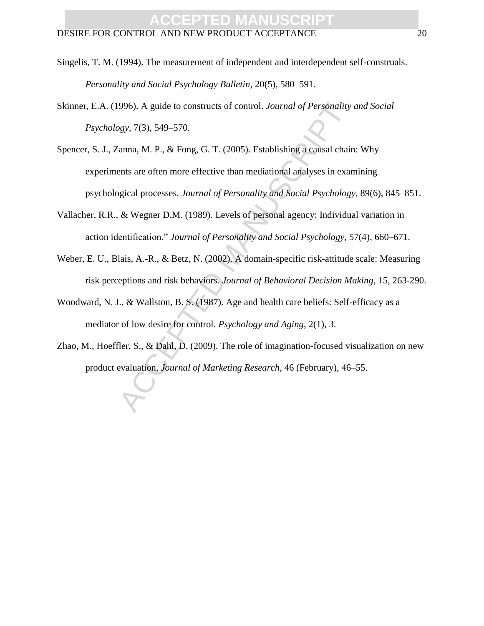- Singelis, T. M. (1994). The measurement of independent and interdependent self-construals. *Personality and Social Psychology Bulletin*, 20(5), 580–591.
- Skinner, E.A. (1996). A guide to constructs of control. *Journal of Personality and Social Psychology*, 7(3), 549–570.
- 996). A guide to constructs of control. *Journal of Personality*<br>28y, 7(3), 549–570.<br>
28y, 7(3), 549–570.<br>
29y, 7(3), 549–570.<br>
2005). Establishing a causal chair<br>
2015 entired and all the set of the set of the set of the Spencer, S. J., Zanna, M. P., & Fong, G. T. (2005). Establishing a causal chain: Why experiments are often more effective than mediational analyses in examining psychological processes. *Journal of Personality and Social Psychology*, 89(6), 845–851.
- Vallacher, R.R., & Wegner D.M. (1989). Levels of personal agency: Individual variation in action identification," *Journal of Personality and Social Psychology,* 57(4), 660–671.
- Weber, E. U., Blais, A.-R., & Betz, N. (2002). A domain-specific risk-attitude scale: Measuring risk perceptions and risk behaviors. *Journal of Behavioral Decision Making*, 15, 263-290.
- Woodward, N. J., & Wallston, B. S. (1987). Age and health care beliefs: Self-efficacy as a mediator of low desire for control. *Psychology and Aging*, 2(1), 3.
- Zhao, M., Hoeffler, S., & Dahl, D. (2009). The role of imagination-focused visualization on new product evaluation, *Journal of Marketing Research*, 46 (February), 46–55.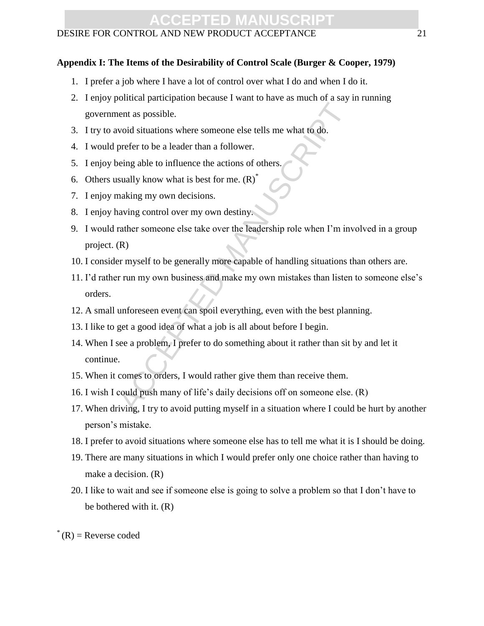#### DESIRE FOR CONTROL AND NEW PRODUCT ACCEPTANCE 21

#### **Appendix I: The Items of the Desirability of Control Scale (Burger & Cooper, 1979)**

- 1. I prefer a job where I have a lot of control over what I do and when I do it.
- 2. I enjoy political participation because I want to have as much of a say in running government as possible.
- 3. I try to avoid situations where someone else tells me what to do.
- 4. I would prefer to be a leader than a follower.
- 5. I enjoy being able to influence the actions of others.
- 6. Others usually know what is best for me.  $(R)^{\hat{}}$
- 7. I enjoy making my own decisions.
- 8. I enjoy having control over my own destiny.
- 9. I would rather someone else take over the leadership role when I'm involved in a group project. (R)
- 10. I consider myself to be generally more capable of handling situations than others are.
- ent as possible.<br>
void situations where someone else tells me what to do.<br>
prefer to be a leader than a follower.<br>
stelly know what is best for me. (R)<sup>\*</sup><br>
stally know what is best for me. (R)<sup>\*</sup><br>
making my own decisions.<br> 11. I'd rather run my own business and make my own mistakes than listen to someone else's orders.
- 12. A small unforeseen event can spoil everything, even with the best planning.
- 13. I like to get a good idea of what a job is all about before I begin.
- 14. When I see a problem, I prefer to do something about it rather than sit by and let it continue.
- 15. When it comes to orders, I would rather give them than receive them.
- 16. I wish I could push many of life's daily decisions off on someone else. (R)
- 17. When driving, I try to avoid putting myself in a situation where I could be hurt by another person's mistake.
- 18. I prefer to avoid situations where someone else has to tell me what it is I should be doing.
- 19. There are many situations in which I would prefer only one choice rather than having to make a decision. (R)
- 20. I like to wait and see if someone else is going to solve a problem so that I don't have to be bothered with it. (R)
- $R =$ Reverse coded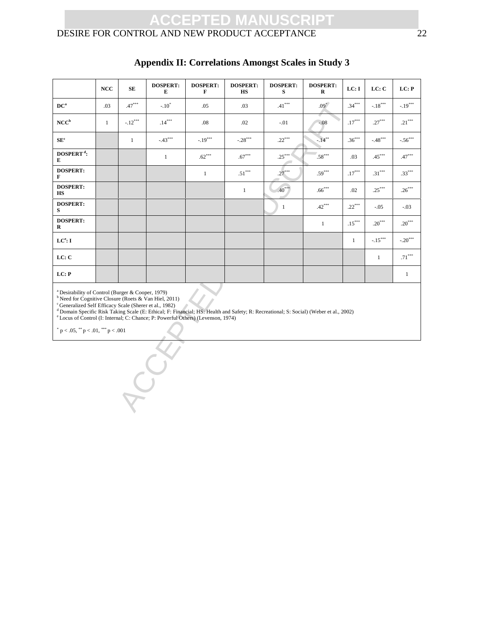### DESIRE FOR CONTROL AND NEW PRODUCT ACCEPTANCE 22

|                                                                                                                                                                                                                                                                                                                                                                                                                                                                                         | NCC          | SE           | <b>DOSPERT:</b><br>Е | <b>DOSPERT:</b><br>F | <b>DOSPERT:</b><br>HS | <b>DOSPERT:</b><br>s | <b>DOSPERT:</b><br>R | LC: I        | LC: C                          | LC: P        |  |  |
|-----------------------------------------------------------------------------------------------------------------------------------------------------------------------------------------------------------------------------------------------------------------------------------------------------------------------------------------------------------------------------------------------------------------------------------------------------------------------------------------|--------------|--------------|----------------------|----------------------|-----------------------|----------------------|----------------------|--------------|--------------------------------|--------------|--|--|
| $DC^a$                                                                                                                                                                                                                                                                                                                                                                                                                                                                                  | .03          | $.47***$     | $-.10^*$             | .05                  | .03                   | $.41***$             | $.09*$               | $.34***$     | $-.18***$                      | $-.19***$    |  |  |
| NCC <sup>b</sup>                                                                                                                                                                                                                                                                                                                                                                                                                                                                        | $\mathbf{1}$ | $-.12***$    | $.14***$             | .08                  | .02                   | $-.01$               | $-0.08$              | $.17***$     | $.27***$                       | $.21***$     |  |  |
| $\mathbf{SE}^\text{c}$                                                                                                                                                                                                                                                                                                                                                                                                                                                                  |              | $\mathbf{1}$ | $-43***$             | $-.19***$            | $-.28***$             | $.22***$             | $-14***$             | $.36***$     | $\textbf{-.48}^{\ast\ast\ast}$ | $-.56***$    |  |  |
| DOSPERT <sup><math>d</math></sup> :<br>E                                                                                                                                                                                                                                                                                                                                                                                                                                                |              |              | $\mathbf{1}$         | $.62***$             | $.67***$              | $.25***$             | $.58***$             | .03          | $.45***$                       | $.47***$     |  |  |
| <b>DOSPERT:</b><br>F                                                                                                                                                                                                                                                                                                                                                                                                                                                                    |              |              |                      | $\mathbf{1}$         | $.51***$              | $.27***$             | $.59***$             | $.17***$     | $.31***$                       | $.33***$     |  |  |
| <b>DOSPERT:</b><br><b>HS</b>                                                                                                                                                                                                                                                                                                                                                                                                                                                            |              |              |                      |                      | $\mathbf{1}$          | $.40***$             | $.66^{***}$          | .02          | $.25***$                       | $.26***$     |  |  |
| <b>DOSPERT:</b><br>S                                                                                                                                                                                                                                                                                                                                                                                                                                                                    |              |              |                      |                      |                       | $\mathbf{1}$         | $.42***$             | $.22***$     | $-.05$                         | $-.03$       |  |  |
| <b>DOSPERT:</b><br>$\bf R$                                                                                                                                                                                                                                                                                                                                                                                                                                                              |              |              |                      |                      |                       |                      | $\mathbf{1}$         | $.15***$     | $.20***$                       | $.20***$     |  |  |
| LC <sup>e</sup> : I                                                                                                                                                                                                                                                                                                                                                                                                                                                                     |              |              |                      |                      |                       |                      |                      | $\mathbf{1}$ | $-.15***$                      | $-.20***$    |  |  |
| LC: C                                                                                                                                                                                                                                                                                                                                                                                                                                                                                   |              |              |                      |                      |                       |                      |                      |              | $\mathbf{1}$                   | $.71***$     |  |  |
| LC: P                                                                                                                                                                                                                                                                                                                                                                                                                                                                                   |              |              |                      |                      |                       |                      |                      |              |                                | $\mathbf{1}$ |  |  |
| <sup>a</sup> Desirability of Control (Burger & Cooper, 1979)<br>$b$ Need for Cognitive Closure (Roets & Van Hiel, 2011)<br><sup>c</sup> Generalized Self Efficacy Scale (Sherer et al., 1982)<br><sup>d</sup> Domain Specific Risk Taking Scale (E: Ethical; F: Financial; HS: Health and Safety; R: Recreational; S: Social) (Weber et al., 2002)<br><sup>e</sup> Locus of Control (I: Internal; C: Chance; P: Powerful Others) (Levenson, 1974)<br>$p < .05$ , $p < .01$ , $p < .001$ |              |              |                      |                      |                       |                      |                      |              |                                |              |  |  |
|                                                                                                                                                                                                                                                                                                                                                                                                                                                                                         |              |              |                      |                      |                       |                      |                      |              |                                |              |  |  |

### **Appendix II: Correlations Amongst Scales in Study 3**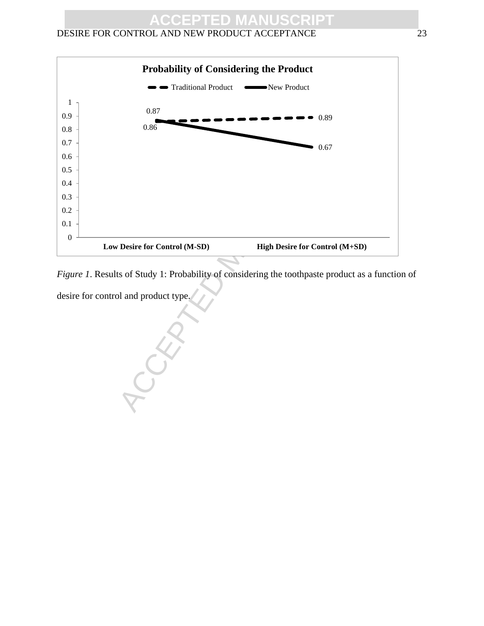### DESIRE FOR CONTROL AND NEW PRODUCT ACCEPTANCE 23



*Figure 1*. Results of Study 1: Probability of considering the toothpaste product as a function of desire for control and product type.